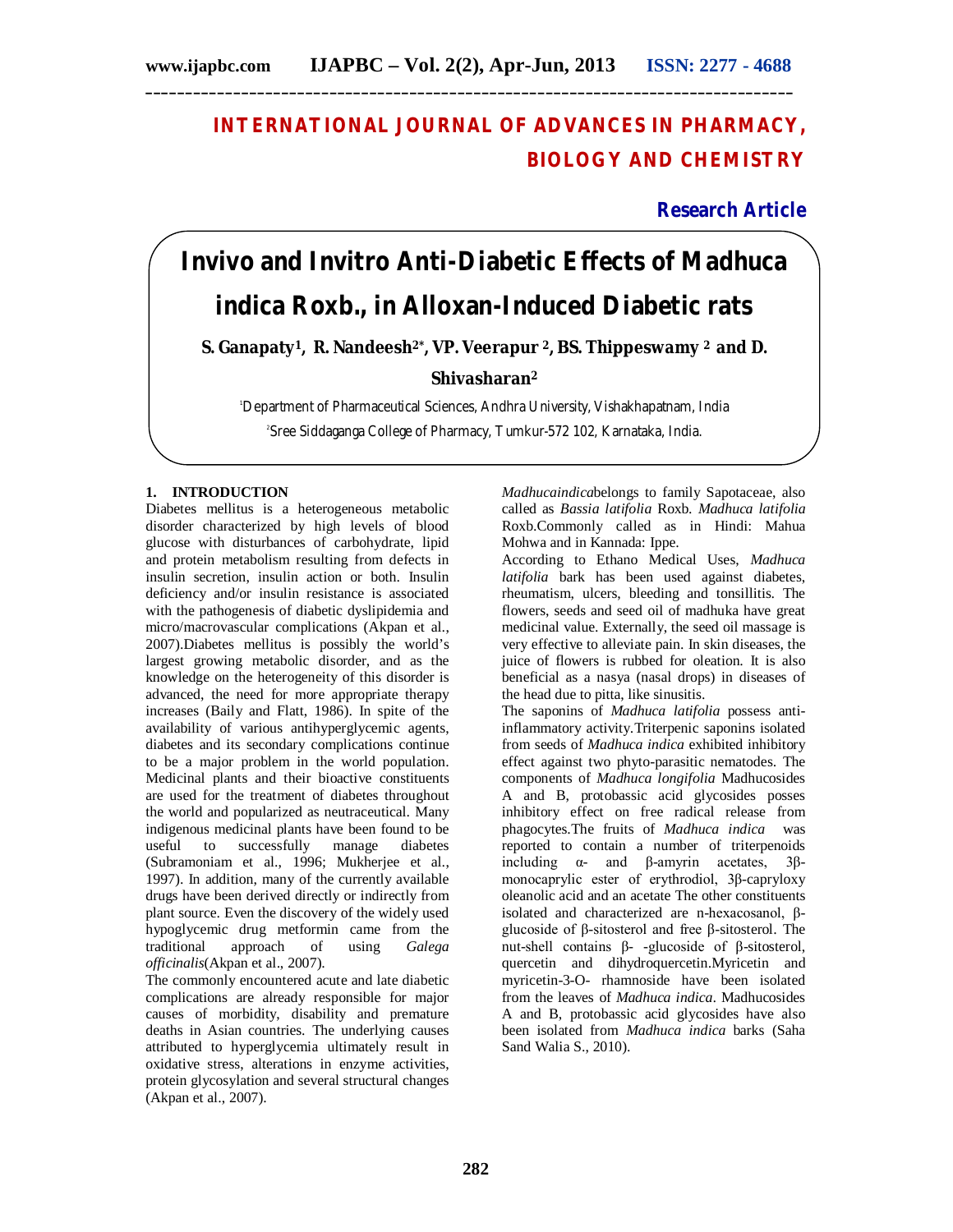# **INTERNATIONAL JOURNAL OF ADVANCES IN PHARMACY, BIOLOGY AND CHEMISTRY**

**Research Article**

# *Invivo* **and** *Invitro* **Anti-Diabetic Effects of** *Madhuca indica* **Roxb., in Alloxan-Induced Diabetic rats**

**S. Ganapaty<sup>1</sup>, R. Nandeesh2\*, VP. Veerapur <sup>2</sup>, BS. Thippeswamy <sup>2</sup>and D.** 

# **Shivasharan<sup>2</sup>**

<sup>1</sup>Department of Pharmaceutical Sciences, Andhra University, Vishakhapatnam, India 2 Sree Siddaganga College of Pharmacy, Tumkur-572 102, Karnataka, India.

# **1. INTRODUCTION**

Diabetes mellitus is a heterogeneous metabolic disorder characterized by high levels of blood glucose with disturbances of carbohydrate, lipid and protein metabolism resulting from defects in insulin secretion, insulin action or both. Insulin deficiency and/or insulin resistance is associated with the pathogenesis of diabetic dyslipidemia and micro/macrovascular complications (Akpan et al., 2007).Diabetes mellitus is possibly the world's largest growing metabolic disorder, and as the knowledge on the heterogeneity of this disorder is advanced, the need for more appropriate therapy increases (Baily and Flatt, 1986). In spite of the availability of various antihyperglycemic agents, diabetes and its secondary complications continue to be a major problem in the world population. Medicinal plants and their bioactive constituents are used for the treatment of diabetes throughout the world and popularized as neutraceutical. Many indigenous medicinal plants have been found to be useful to successfully manage diabetes (Subramoniam et al., 1996; Mukherjee et al., 1997). In addition, many of the currently available drugs have been derived directly or indirectly from plant source. Even the discovery of the widely used hypoglycemic drug metformin came from the traditional approach of using *Galega officinalis*(Akpan et al., 2007).

The commonly encountered acute and late diabetic complications are already responsible for major causes of morbidity, disability and premature deaths in Asian countries. The underlying causes attributed to hyperglycemia ultimately result in oxidative stress, alterations in enzyme activities, protein glycosylation and several structural changes (Akpan et al., 2007).

*Madhucaindica*belongs to family Sapotaceae, also called as *Bassia latifolia* Roxb. *Madhuca latifolia* Roxb.Commonly called as in Hindi: Mahua Mohwa and in Kannada: Ippe.

According to Ethano Medical Uses, *Madhuca latifolia* bark has been used against diabetes, rheumatism, ulcers, bleeding and tonsillitis. The flowers, seeds and seed oil of madhuka have great medicinal value. Externally, the seed oil massage is very effective to alleviate pain. In skin diseases, the juice of flowers is rubbed for oleation. It is also beneficial as a nasya (nasal drops) in diseases of the head due to pitta, like sinusitis.

The saponins of *Madhuca latifolia* possess antiinflammatory activity.Triterpenic saponins isolated from seeds of *Madhuca indica* exhibited inhibitory effect against two phyto-parasitic nematodes. The components of *Madhuca longifolia* Madhucosides A and B, protobassic acid glycosides posses inhibitory effect on free radical release from phagocytes.The fruits of *Madhuca indica* was reported to contain a number of triterpenoids including α- and β-amyrin acetates, 3βmonocaprylic ester of erythrodiol, 3β-capryloxy oleanolic acid and an acetate The other constituents isolated and characterized are n-hexacosanol, βglucoside of β-sitosterol and free β-sitosterol. The nut-shell contains β- -glucoside of β-sitosterol, quercetin and dihydroquercetin.Myricetin and myricetin-3-O- rhamnoside have been isolated from the leaves of *Madhuca indica*. Madhucosides A and B, protobassic acid glycosides have also been isolated from *Madhuca indica* barks (Saha Sand Walia S., 2010).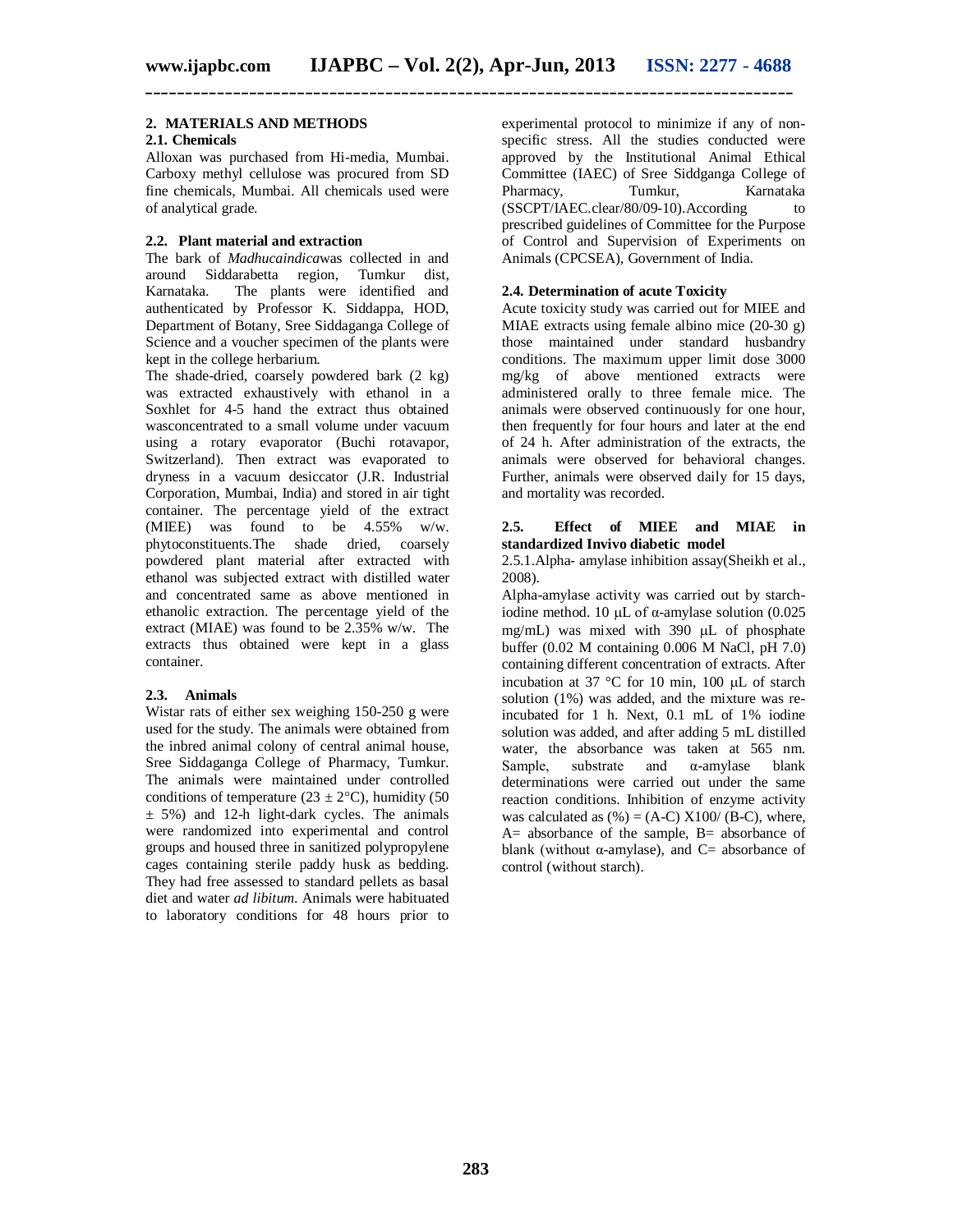#### **2. MATERIALS AND METHODS**

#### **2.1. Chemicals**

Alloxan was purchased from Hi-media, Mumbai. Carboxy methyl cellulose was procured from SD fine chemicals, Mumbai. All chemicals used were of analytical grade.

#### **2.2. Plant material and extraction**

The bark of *Madhucaindica*was collected in and around Siddarabetta region, Tumkur dist, Karnataka. The plants were identified and authenticated by Professor K. Siddappa, HOD, Department of Botany, Sree Siddaganga College of Science and a voucher specimen of the plants were kept in the college herbarium.

The shade-dried, coarsely powdered bark (2 kg) was extracted exhaustively with ethanol in a Soxhlet for 4-5 hand the extract thus obtained wasconcentrated to a small volume under vacuum using a rotary evaporator (Buchi rotavapor, Switzerland). Then extract was evaporated to dryness in a vacuum desiccator (J.R. Industrial Corporation, Mumbai, India) and stored in air tight container. The percentage yield of the extract (MIEE) was found to be 4.55% w/w. phytoconstituents.The shade dried, coarsely powdered plant material after extracted with ethanol was subjected extract with distilled water and concentrated same as above mentioned in ethanolic extraction. The percentage yield of the extract (MIAE) was found to be 2.35% w/w. The extracts thus obtained were kept in a glass container.

#### **2.3. Animals**

Wistar rats of either sex weighing 150-250 g were used for the study. The animals were obtained from the inbred animal colony of central animal house, Sree Siddaganga College of Pharmacy, Tumkur. The animals were maintained under controlled conditions of temperature (23  $\pm$  2°C), humidity (50  $\pm$  5%) and 12-h light-dark cycles. The animals were randomized into experimental and control groups and housed three in sanitized polypropylene cages containing sterile paddy husk as bedding. They had free assessed to standard pellets as basal diet and water *ad libitum*. Animals were habituated to laboratory conditions for 48 hours prior to

experimental protocol to minimize if any of nonspecific stress. All the studies conducted were approved by the Institutional Animal Ethical Committee (IAEC) of Sree Siddganga College of<br>Pharmacy. Tumkur. Karnataka Pharmacy, (SSCPT/IAEC.clear/80/09-10).According to prescribed guidelines of Committee for the Purpose of Control and Supervision of Experiments on Animals (CPCSEA), Government of India.

#### **2.4. Determination of acute Toxicity**

Acute toxicity study was carried out for MIEE and MIAE extracts using female albino mice (20-30 g) those maintained under standard husbandry conditions. The maximum upper limit dose 3000 mg/kg of above mentioned extracts were administered orally to three female mice. The animals were observed continuously for one hour, then frequently for four hours and later at the end of 24 h. After administration of the extracts, the animals were observed for behavioral changes. Further, animals were observed daily for 15 days, and mortality was recorded.

#### **2.5. Effect of MIEE and MIAE in standardized Invivo diabetic model**

2.5.1.Alpha- amylase inhibition assay(Sheikh et al., 2008).

Alpha-amylase activity was carried out by starchiodine method. 10  $\mu$ L of  $\alpha$ -amylase solution (0.025) mg/mL) was mixed with  $390 \mu L$  of phosphate buffer (0.02 M containing 0.006 M NaCl, pH 7.0) containing different concentration of extracts. After incubation at 37  $\degree$ C for 10 min, 100  $\mu$ L of starch solution (1%) was added, and the mixture was reincubated for 1 h. Next, 0.1 mL of 1% iodine solution was added, and after adding 5 mL distilled water, the absorbance was taken at 565 nm.<br>Sample, substrate and  $\alpha$ -amylase blank substrate and  $\alpha$ -amylase blank determinations were carried out under the same reaction conditions. Inhibition of enzyme activity was calculated as  $(\%)=(A-C) X100/ (B-C)$ , where,  $A=$  absorbance of the sample,  $B=$  absorbance of blank (without  $\alpha$ -amylase), and C= absorbance of control (without starch).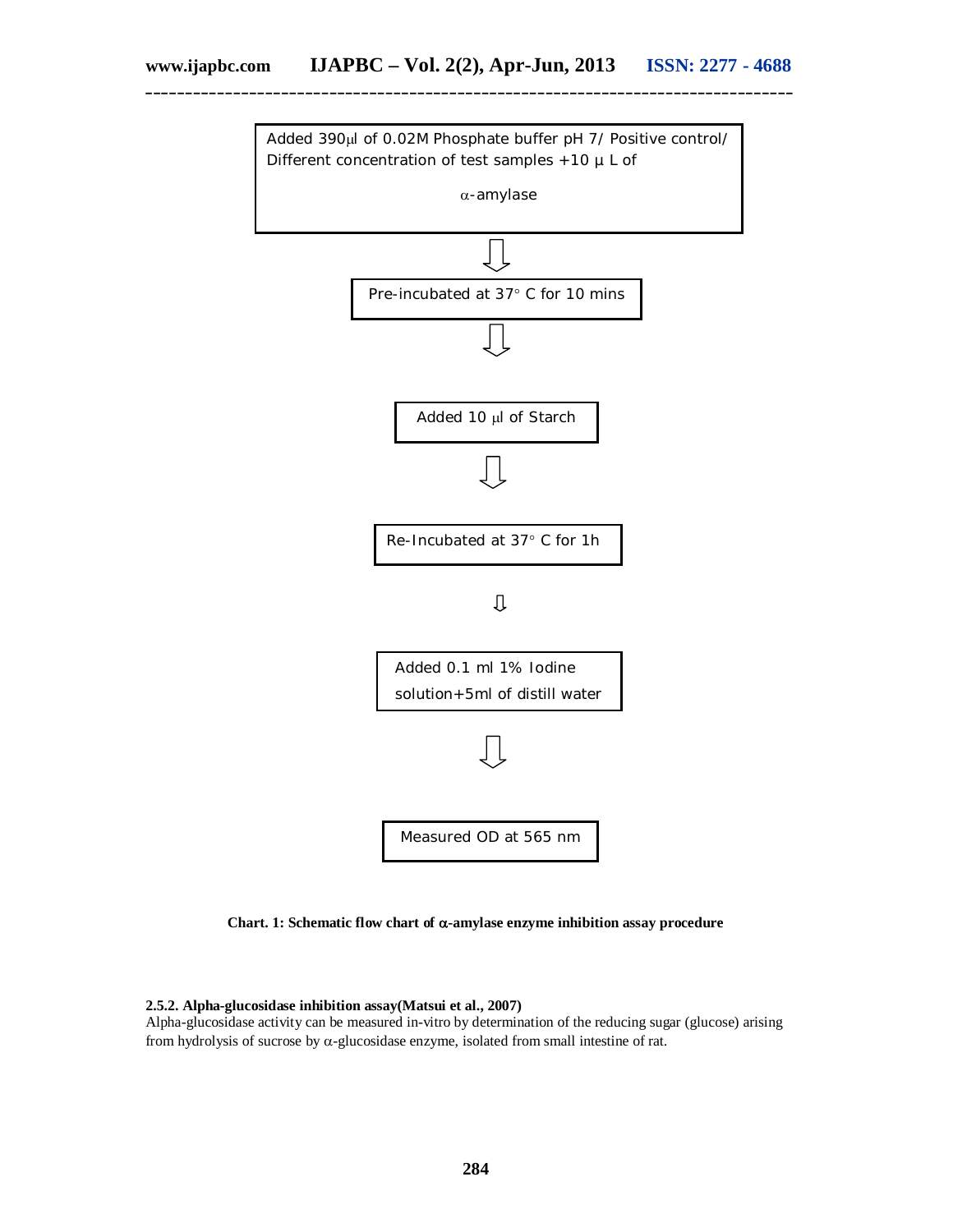

**Chart. 1: Schematic flow chart of -amylase enzyme inhibition assay procedure**

#### **2.5.2. Alpha-glucosidase inhibition assay(Matsui et al., 2007)**

Alpha-glucosidase activity can be measured in-vitro by determination of the reducing sugar (glucose) arising from hydrolysis of sucrose by  $\alpha$ -glucosidase enzyme, isolated from small intestine of rat.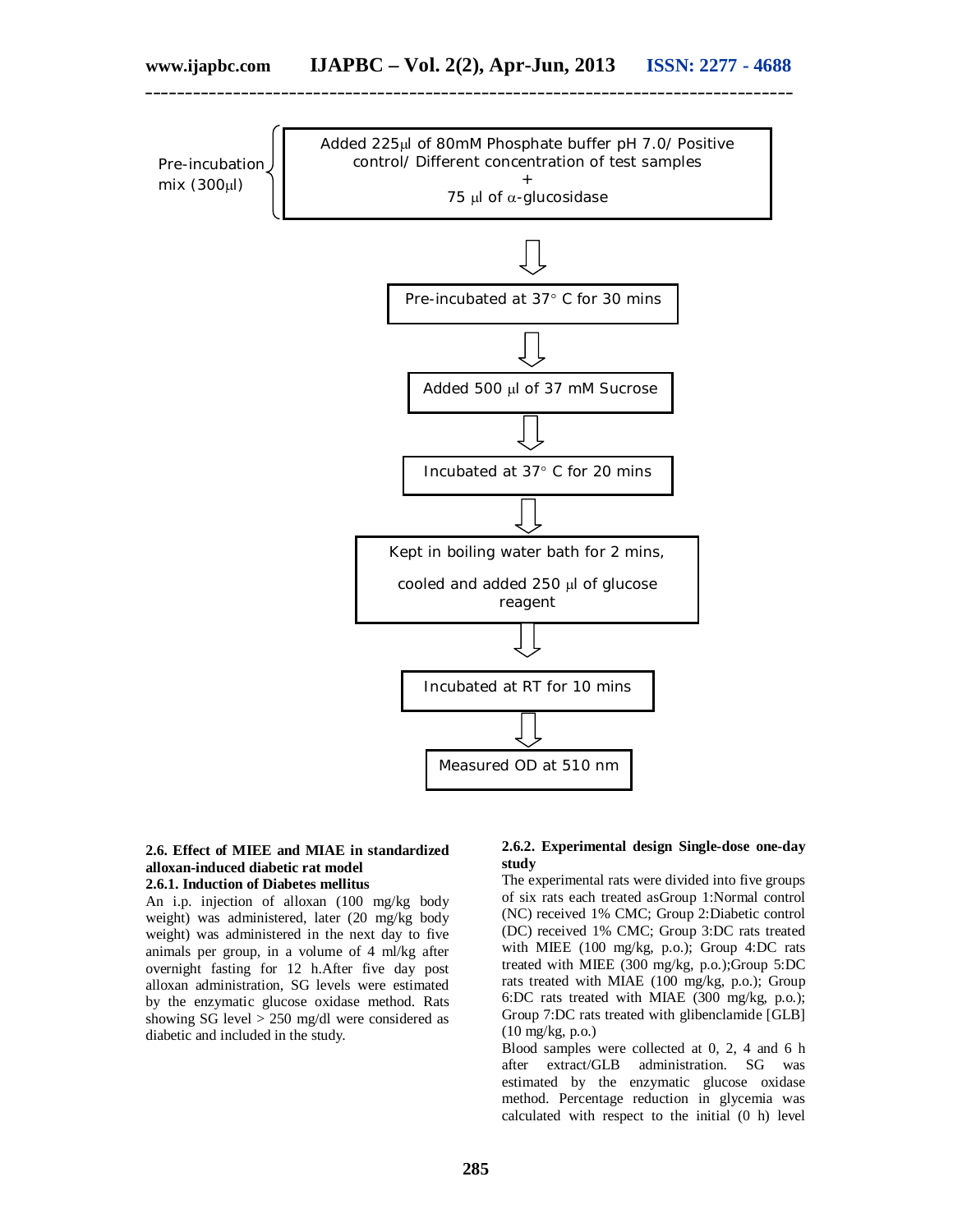

# **2.6. Effect of MIEE and MIAE in standardized alloxan-induced diabetic rat model**

**2.6.1. Induction of Diabetes mellitus**

An i.p. injection of alloxan (100 mg/kg body weight) was administered, later (20 mg/kg body weight) was administered in the next day to five animals per group, in a volume of 4 ml/kg after overnight fasting for 12 h.After five day post alloxan administration, SG levels were estimated by the enzymatic glucose oxidase method. Rats showing SG level > 250 mg/dl were considered as diabetic and included in the study.

#### **2.6.2. Experimental design Single-dose one-day study**

The experimental rats were divided into five groups of six rats each treated asGroup 1:Normal control (NC) received 1% CMC; Group 2:Diabetic control (DC) received 1% CMC; Group 3:DC rats treated with MIEE (100 mg/kg, p.o.); Group 4:DC rats treated with MIEE (300 mg/kg, p.o.);Group 5:DC rats treated with MIAE (100 mg/kg, p.o.); Group 6:DC rats treated with MIAE (300 mg/kg, p.o.); Group 7:DC rats treated with glibenclamide [GLB] (10 mg/kg, p.o.)

Blood samples were collected at 0, 2, 4 and 6 h after extract/GLB administration. SG was estimated by the enzymatic glucose oxidase method. Percentage reduction in glycemia was calculated with respect to the initial (0 h) level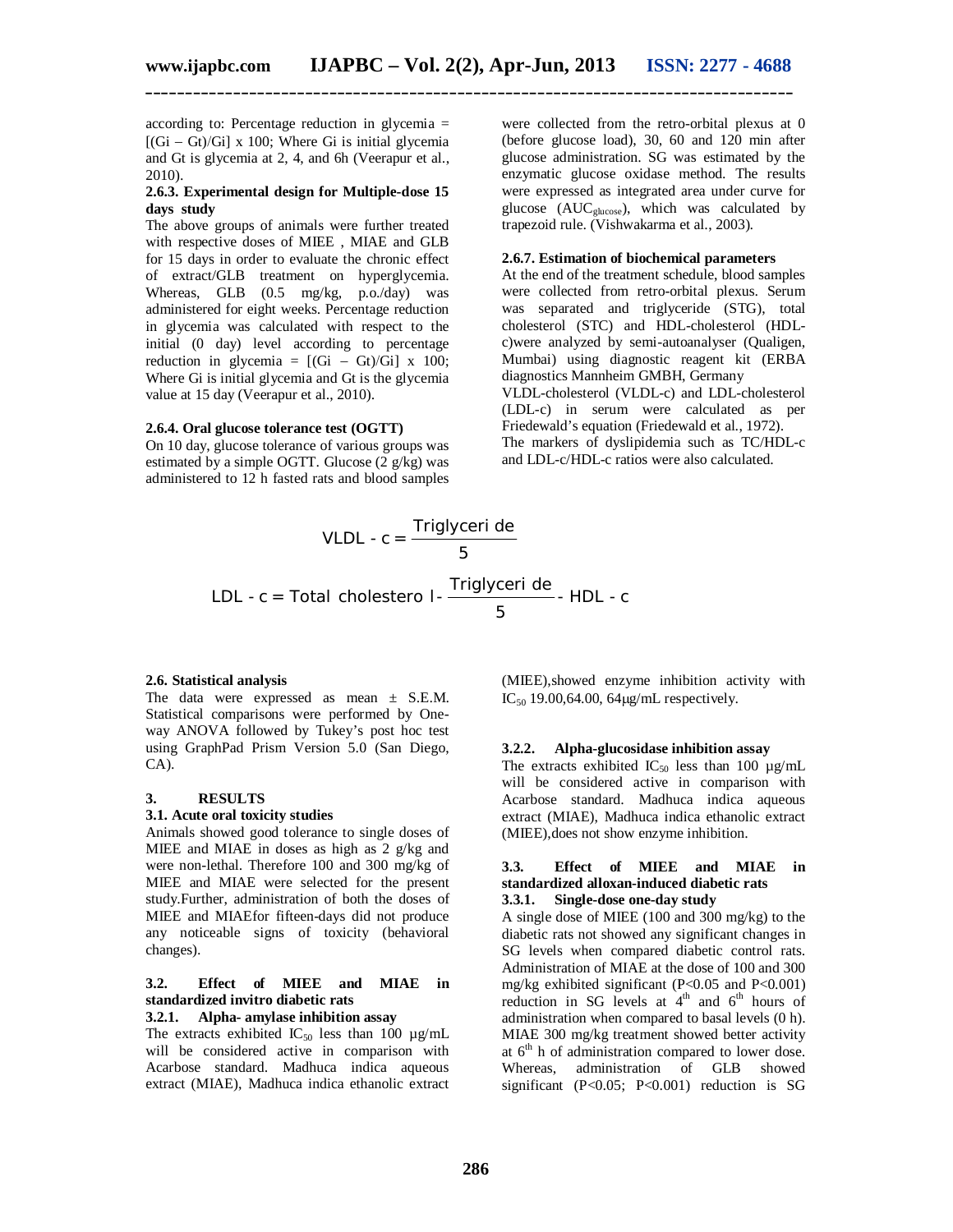according to: Percentage reduction in glycemia =  $[(Gi - Gt)/Gi] \times 100$ ; Where Gi is initial glycemia and Gt is glycemia at 2, 4, and 6h (Veerapur et al., 2010).

#### **2.6.3. Experimental design for Multiple-dose 15 days study**

The above groups of animals were further treated with respective doses of MIEE , MIAE and GLB for 15 days in order to evaluate the chronic effect of extract/GLB treatment on hyperglycemia. Whereas, GLB (0.5 mg/kg, p.o./day) was administered for eight weeks. Percentage reduction in glycemia was calculated with respect to the initial (0 day) level according to percentage reduction in glycemia =  $[(Gi - Gt)/Gi] \times 100;$ Where Gi is initial glycemia and Gt is the glycemia value at 15 day (Veerapur et al., 2010).

#### **2.6.4. Oral glucose tolerance test (OGTT)**

On 10 day, glucose tolerance of various groups was estimated by a simple OGTT. Glucose (2 g/kg) was administered to 12 h fasted rats and blood samples

were collected from the retro-orbital plexus at 0 (before glucose load), 30, 60 and 120 min after glucose administration. SG was estimated by the enzymatic glucose oxidase method. The results were expressed as integrated area under curve for glucose (AUC<sub>glucose</sub>), which was calculated by trapezoid rule. (Vishwakarma et al., 2003).

#### **2.6.7. Estimation of biochemical parameters**

At the end of the treatment schedule, blood samples were collected from retro-orbital plexus. Serum was separated and triglyceride (STG), total cholesterol (STC) and HDL-cholesterol (HDLc)were analyzed by semi-autoanalyser (Qualigen, Mumbai) using diagnostic reagent kit (ERBA diagnostics Mannheim GMBH, Germany VLDL-cholesterol (VLDL-c) and LDL-cholesterol (LDL-c) in serum were calculated as per Friedewald's equation (Friedewald et al., 1972). The markers of dyslipidemia such as TC/HDL-c and LDL-c/HDL-c ratios were also calculated.

VLDL - c = 
$$
\frac{\text{Triglyceri de}}{5}
$$
  
LDL - c = Total cholesterol -  $\frac{\text{Triglyceri de}}{5}$  - HDL - c

#### **2.6. Statistical analysis**

The data were expressed as mean  $\pm$  S.E.M. Statistical comparisons were performed by Oneway ANOVA followed by Tukey's post hoc test using GraphPad Prism Version 5.0 (San Diego, CA).

#### **3. RESULTS**

#### **3.1. Acute oral toxicity studies**

Animals showed good tolerance to single doses of MIEE and MIAE in doses as high as 2 g/kg and were non-lethal. Therefore 100 and 300 mg/kg of MIEE and MIAE were selected for the present study.Further, administration of both the doses of MIEE and MIAEfor fifteen-days did not produce any noticeable signs of toxicity (behavioral changes).

# **3.2. Effect of MIEE and MIAE in standardized invitro diabetic rats**

# **3.2.1. Alpha- amylase inhibition assay**

The extracts exhibited  $IC_{50}$  less than 100  $\mu$ g/mL will be considered active in comparison with Acarbose standard. Madhuca indica aqueous extract (MIAE), Madhuca indica ethanolic extract (MIEE),showed enzyme inhibition activity with IC<sub>50</sub> 19.00,64.00, 64 $\mu$ g/mL respectively.

#### **3.2.2. Alpha-glucosidase inhibition assay**

The extracts exhibited IC<sub>50</sub> less than 100  $\mu$ g/mL will be considered active in comparison with Acarbose standard. Madhuca indica aqueous extract (MIAE), Madhuca indica ethanolic extract (MIEE),does not show enzyme inhibition.

#### **3.3. Effect of MIEE and MIAE in standardized alloxan-induced diabetic rats 3.3.1. Single-dose one-day study**

A single dose of MIEE (100 and 300 mg/kg) to the diabetic rats not showed any significant changes in SG levels when compared diabetic control rats. Administration of MIAE at the dose of 100 and 300 mg/kg exhibited significant (P<0.05 and P<0.001) reduction in SG levels at  $4<sup>th</sup>$  and  $6<sup>th</sup>$  hours of administration when compared to basal levels (0 h). MIAE 300 mg/kg treatment showed better activity at  $6<sup>th</sup>$  h of administration compared to lower dose. Whereas, administration of GLB showed significant (P<0.05; P<0.001) reduction is SG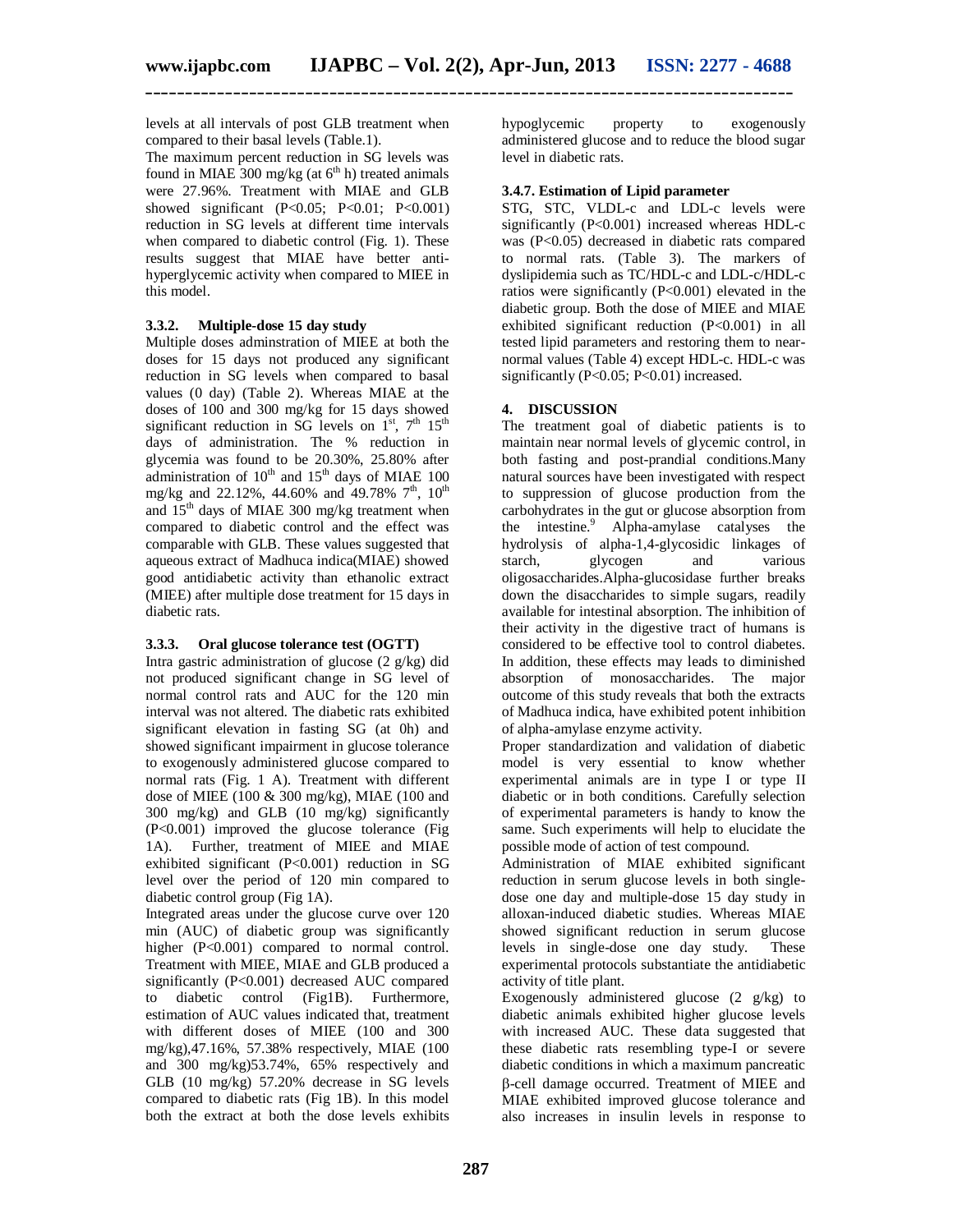levels at all intervals of post GLB treatment when compared to their basal levels (Table.1).

The maximum percent reduction in SG levels was found in MIAE  $300$  mg/kg (at  $6<sup>th</sup>$  h) treated animals were 27.96%. Treatment with MIAE and GLB showed significant  $(P<0.05; P<0.01; P<0.001)$ reduction in SG levels at different time intervals when compared to diabetic control (Fig. 1). These results suggest that MIAE have better antihyperglycemic activity when compared to MIEE in this model.

#### **3.3.2. Multiple-dose 15 day study**

Multiple doses adminstration of MIEE at both the doses for 15 days not produced any significant reduction in SG levels when compared to basal values (0 day) (Table 2). Whereas MIAE at the doses of 100 and 300 mg/kg for 15 days showed significant reduction in SG levels on  $1^{st}$ , 7<sup>th</sup> 15<sup>th</sup> days of administration. The % reduction in glycemia was found to be 20.30%, 25.80% after administration of  $10^{th}$  and  $15^{th}$  days of MIAE 100 mg/kg and 22.12%, 44.60% and 49.78%  $7<sup>th</sup>$ , 10<sup>th</sup> and  $15<sup>th</sup>$  days of MIAE 300 mg/kg treatment when compared to diabetic control and the effect was comparable with GLB. These values suggested that aqueous extract of Madhuca indica(MIAE) showed good antidiabetic activity than ethanolic extract (MIEE) after multiple dose treatment for 15 days in diabetic rats.

# **3.3.3. Oral glucose tolerance test (OGTT)**

Intra gastric administration of glucose (2 g/kg) did not produced significant change in SG level of normal control rats and AUC for the 120 min interval was not altered. The diabetic rats exhibited significant elevation in fasting SG (at 0h) and showed significant impairment in glucose tolerance to exogenously administered glucose compared to normal rats (Fig. 1 A). Treatment with different dose of MIEE (100 & 300 mg/kg), MIAE (100 and 300 mg/kg) and GLB (10 mg/kg) significantly (P<0.001) improved the glucose tolerance (Fig 1A). Further, treatment of MIEE and MIAE exhibited significant (P<0.001) reduction in SG level over the period of 120 min compared to diabetic control group (Fig 1A).

Integrated areas under the glucose curve over 120 min (AUC) of diabetic group was significantly higher (P<0.001) compared to normal control. Treatment with MIEE, MIAE and GLB produced a significantly (P<0.001) decreased AUC compared to diabetic control (Fig1B). Furthermore, estimation of AUC values indicated that, treatment with different doses of MIEE (100 and 300 mg/kg),47.16%, 57.38% respectively, MIAE (100 and 300 mg/kg)53.74%, 65% respectively and GLB (10 mg/kg) 57.20% decrease in SG levels compared to diabetic rats (Fig 1B). In this model both the extract at both the dose levels exhibits

hypoglycemic property to exogenously administered glucose and to reduce the blood sugar level in diabetic rats.

#### **3.4.7. Estimation of Lipid parameter**

STG, STC, VLDL-c and LDL-c levels were significantly (P<0.001) increased whereas HDL-c was (P<0.05) decreased in diabetic rats compared to normal rats. (Table 3). The markers of dyslipidemia such as TC/HDL-c and LDL-c/HDL-c ratios were significantly (P<0.001) elevated in the diabetic group. Both the dose of MIEE and MIAE exhibited significant reduction (P<0.001) in all tested lipid parameters and restoring them to nearnormal values (Table 4) except HDL-c. HDL-c was significantly ( $P<0.05$ ;  $P<0.01$ ) increased.

### **4. DISCUSSION**

The treatment goal of diabetic patients is to maintain near normal levels of glycemic control, in both fasting and post-prandial conditions.Many natural sources have been investigated with respect to suppression of glucose production from the carbohydrates in the gut or glucose absorption from the intestine.<sup>9</sup> Alpha-amylase catalyses the hydrolysis of alpha-1,4-glycosidic linkages of starch, glycogen and various oligosaccharides.Alpha-glucosidase further breaks down the disaccharides to simple sugars, readily available for intestinal absorption. The inhibition of their activity in the digestive tract of humans is considered to be effective tool to control diabetes. In addition, these effects may leads to diminished absorption of monosaccharides. The major outcome of this study reveals that both the extracts of Madhuca indica, have exhibited potent inhibition of alpha-amylase enzyme activity.

Proper standardization and validation of diabetic model is very essential to know whether experimental animals are in type I or type II diabetic or in both conditions. Carefully selection of experimental parameters is handy to know the same. Such experiments will help to elucidate the possible mode of action of test compound.

Administration of MIAE exhibited significant reduction in serum glucose levels in both singledose one day and multiple-dose 15 day study in alloxan-induced diabetic studies. Whereas MIAE showed significant reduction in serum glucose levels in single-dose one day study. These experimental protocols substantiate the antidiabetic activity of title plant.

Exogenously administered glucose (2 g/kg) to diabetic animals exhibited higher glucose levels with increased AUC. These data suggested that these diabetic rats resembling type-I or severe diabetic conditions in which a maximum pancreatic -cell damage occurred. Treatment of MIEE and MIAE exhibited improved glucose tolerance and also increases in insulin levels in response to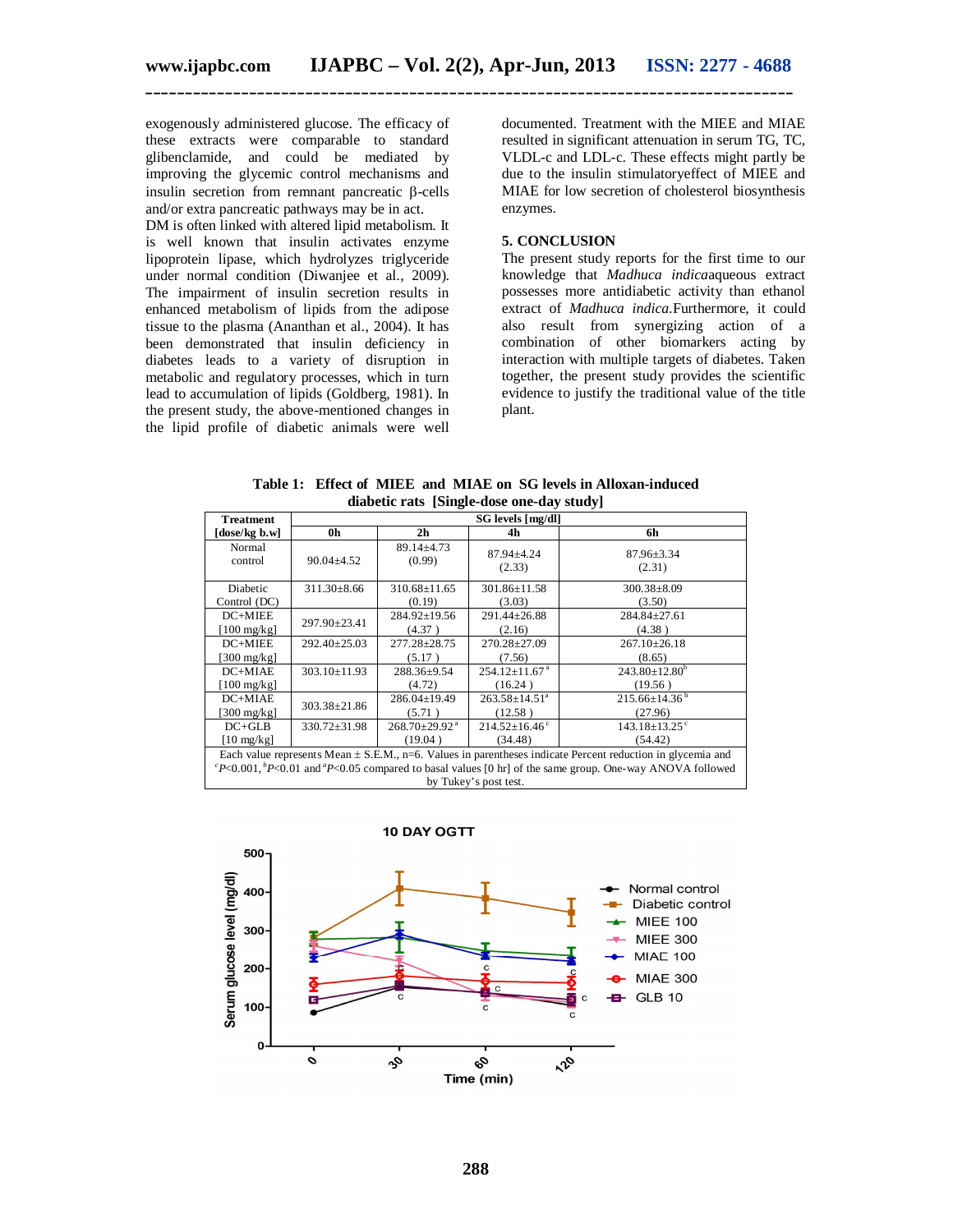exogenously administered glucose. The efficacy of these extracts were comparable to standard glibenclamide, and could be mediated by improving the glycemic control mechanisms and insulin secretion from remnant pancreatic  $\beta$ -cells and/or extra pancreatic pathways may be in act.

DM is often linked with altered lipid metabolism. It is well known that insulin activates enzyme lipoprotein lipase, which hydrolyzes triglyceride under normal condition (Diwanjee et al., 2009). The impairment of insulin secretion results in enhanced metabolism of lipids from the adipose tissue to the plasma (Ananthan et al., 2004). It has been demonstrated that insulin deficiency in diabetes leads to a variety of disruption in metabolic and regulatory processes, which in turn lead to accumulation of lipids (Goldberg, 1981). In the present study, the above-mentioned changes in the lipid profile of diabetic animals were well

documented. Treatment with the MIEE and MIAE resulted in significant attenuation in serum TG, TC, VLDL-c and LDL-c. These effects might partly be due to the insulin stimulatoryeffect of MIEE and MIAE for low secretion of cholesterol biosynthesis enzymes.

#### **5. CONCLUSION**

The present study reports for the first time to our knowledge that *Madhuca indica*aqueous extract possesses more antidiabetic activity than ethanol extract of *Madhuca indica.*Furthermore, it could also result from synergizing action of a combination of other biomarkers acting by interaction with multiple targets of diabetes. Taken together, the present study provides the scientific evidence to justify the traditional value of the title plant.

| <b>Treatment</b>                                                                                                                                                                                                                                               | SG levels [mg/dl]  |                                 |                                 |                                 |  |  |  |  |  |
|----------------------------------------------------------------------------------------------------------------------------------------------------------------------------------------------------------------------------------------------------------------|--------------------|---------------------------------|---------------------------------|---------------------------------|--|--|--|--|--|
| [dose/kg b.w]                                                                                                                                                                                                                                                  | 0h                 | 2 <sub>h</sub><br>4h            |                                 | 6h                              |  |  |  |  |  |
| Normal                                                                                                                                                                                                                                                         | $90.04 \pm 4.52$   | $89.14 \pm 4.73$                | $87.94 \pm 4.24$                | $87.96 \pm 3.34$                |  |  |  |  |  |
| control                                                                                                                                                                                                                                                        |                    | (0.99)                          | (2.33)                          | (2.31)                          |  |  |  |  |  |
| Diabetic                                                                                                                                                                                                                                                       | $311.30 \pm 8.66$  | $310.68 \pm 11.65$              | 301.86±11.58                    | $300.38 \pm 8.09$               |  |  |  |  |  |
| Control (DC)                                                                                                                                                                                                                                                   |                    | (0.19)                          | (3.03)                          | (3.50)                          |  |  |  |  |  |
| $DC+MIEE$                                                                                                                                                                                                                                                      | 297.90±23.41       | $284.92 \pm 19.56$              | $291.44 \pm 26.88$              | $284.84 \pm 27.61$              |  |  |  |  |  |
| [ $100 \text{ mg/kg}$ ]                                                                                                                                                                                                                                        |                    | (4.37)                          | (2.16)                          | (4.38)                          |  |  |  |  |  |
| $DC+MIEE$                                                                                                                                                                                                                                                      | $292.40 \pm 25.03$ | $277.28 \pm 28.75$              | $270.28 \pm 27.09$              | $267.10 \pm 26.18$              |  |  |  |  |  |
| [300 mg/ $kgl$ ]                                                                                                                                                                                                                                               |                    | (5.17)                          | (7.56)                          | (8.65)                          |  |  |  |  |  |
| DC+MIAE                                                                                                                                                                                                                                                        | $303.10 \pm 11.93$ | 288.36±9.54                     | $254.12 \pm 11.67$ <sup>a</sup> | $243.80 \pm 12.80^b$            |  |  |  |  |  |
| $[100 \text{ mg/kg}]$                                                                                                                                                                                                                                          |                    | (4.72)                          | (16.24)                         | (19.56)                         |  |  |  |  |  |
| DC+MIAE                                                                                                                                                                                                                                                        | $303.38 \pm 21.86$ | $286.04 \pm 19.49$              | $263.58 \pm 14.51^a$            | $215.66\pm14.36^{\mathrm{b}}$   |  |  |  |  |  |
| [300 mg/kg]                                                                                                                                                                                                                                                    |                    | (5.71)                          | (12.58)                         | (27.96)                         |  |  |  |  |  |
| $DC + GLB$                                                                                                                                                                                                                                                     | $330.72 \pm 31.98$ | $268.70 \pm 29.92$ <sup>a</sup> | $214.52 \pm 16.46$ °            | $143.18 \pm 13.25$ <sup>c</sup> |  |  |  |  |  |
| $[10 \text{ mg/kg}]$                                                                                                                                                                                                                                           |                    | (19.04)                         | (34.48)                         | (54.42)                         |  |  |  |  |  |
| Each value represents Mean ± S.E.M., n=6. Values in parentheses indicate Percent reduction in glycemia and<br>${}^cP<0.001$ , ${}^bP<0.01$ and ${}^dP<0.05$ compared to basal values [0 hr] of the same group. One-way ANOVA followed<br>by Tukey's post test. |                    |                                 |                                 |                                 |  |  |  |  |  |

**Table 1: Effect of MIEE and MIAE on SG levels in Alloxan-induced diabetic rats [Single-dose one-day study]**

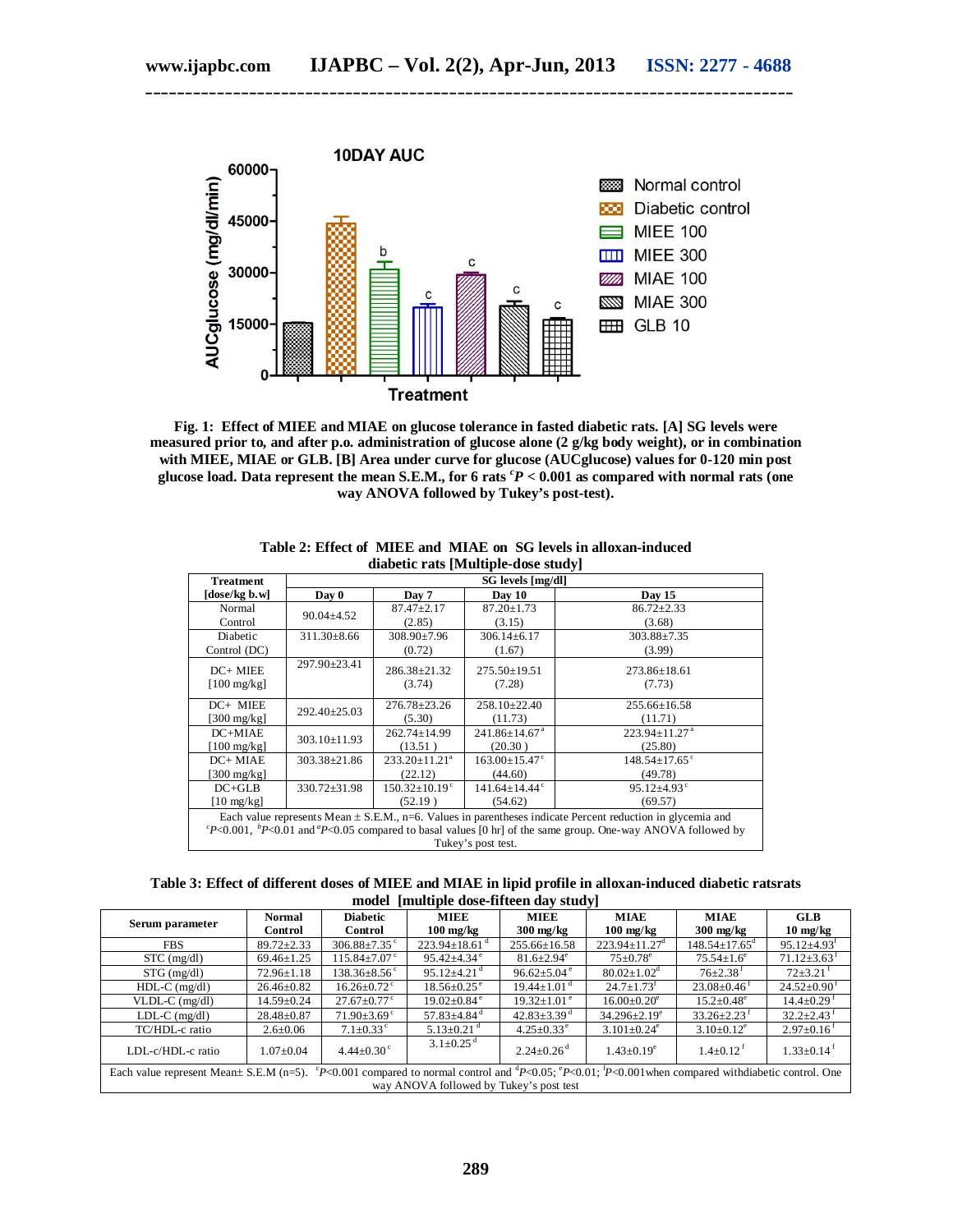

**\_\_\_\_\_\_\_\_\_\_\_\_\_\_\_\_\_\_\_\_\_\_\_\_\_\_\_\_\_\_\_\_\_\_\_\_\_\_\_\_\_\_\_\_\_\_\_\_\_\_\_\_\_\_\_\_\_\_\_\_\_\_\_\_\_\_\_\_\_\_\_\_\_\_\_\_\_\_\_\_\_**

**Fig. 1: Effect of MIEE and MIAE on glucose tolerance in fasted diabetic rats. [A] SG levels were measured prior to, and after p.o. administration of glucose alone (2 g/kg body weight), or in combination with MIEE, MIAE or GLB. [B] Area under curve for glucose (AUCglucose) values for 0-120 min post glucose load. Data represent the mean S.E.M., for 6 rats** *<sup>c</sup>P* **< 0.001 as compared with normal rats (one way ANOVA followed by Tukey's post-test).**

| $\frac{1}{2}$                                                                                                              |                    |                      |                                 |                                 |  |  |  |  |  |
|----------------------------------------------------------------------------------------------------------------------------|--------------------|----------------------|---------------------------------|---------------------------------|--|--|--|--|--|
| <b>Treatment</b>                                                                                                           | SG levels [mg/dl]  |                      |                                 |                                 |  |  |  |  |  |
| [dose/kg b.w]                                                                                                              | Day 0              | Day 7                | Day 10                          | <b>Day 15</b>                   |  |  |  |  |  |
| Normal                                                                                                                     | $90.04 \pm 4.52$   | $87.47 \pm 2.17$     | $87.20 \pm 1.73$                | $86.72 \pm 2.33$                |  |  |  |  |  |
| Control                                                                                                                    |                    | (2.85)               | (3.15)                          | (3.68)                          |  |  |  |  |  |
| Diabetic                                                                                                                   | $311.30 \pm 8.66$  | $308.90 \pm 7.96$    | $306.14 \pm 6.17$               | $303.88 \pm 7.35$               |  |  |  |  |  |
| Control (DC)                                                                                                               |                    | (0.72)               | (1.67)                          | (3.99)                          |  |  |  |  |  |
| $DC+MIEE$                                                                                                                  | 297.90±23.41       | 286.38±21.32         | $275.50 \pm 19.51$              | $273.86 \pm 18.61$              |  |  |  |  |  |
| $[100 \text{ mg/kg}]$                                                                                                      |                    | (3.74)               | (7.28)                          | (7.73)                          |  |  |  |  |  |
|                                                                                                                            |                    |                      |                                 |                                 |  |  |  |  |  |
| DC+ MIEE                                                                                                                   |                    | $276.78 \pm 23.26$   | $258.10 \pm 22.40$              | $255.66 \pm 16.58$              |  |  |  |  |  |
| [300 mg/kg]                                                                                                                | $292.40 \pm 25.03$ | (5.30)               | (11.73)                         | (11.71)                         |  |  |  |  |  |
| $DC+MIAE$                                                                                                                  | $303.10 \pm 11.93$ | $262.74 \pm 14.99$   | $241.86 \pm 14.67$ <sup>a</sup> | $223.94 \pm 11.27$ <sup>a</sup> |  |  |  |  |  |
| $[100 \text{ mg/kg}]$                                                                                                      |                    | (13.51)              | (20.30)                         | (25.80)                         |  |  |  |  |  |
| DC+ MIAE                                                                                                                   | $303.38 \pm 21.86$ | $233.20 \pm 11.21^a$ | $163.00 \pm 15.47$ <sup>c</sup> | $148.54 \pm 17.65$ <sup>c</sup> |  |  |  |  |  |
| [300 mg/kg]                                                                                                                |                    | (22.12)              | (44.60)                         | (49.78)                         |  |  |  |  |  |
| $DC+GLB$                                                                                                                   | $330.72 \pm 31.98$ | $150.32 \pm 10.19$ ° | $141.64 \pm 14.44$ °            | $95.12{\pm}4.93^{\circ}$        |  |  |  |  |  |
| $[10 \text{ mg/kg}]$                                                                                                       |                    | (52.19)              | (54.62)                         | (69.57)                         |  |  |  |  |  |
| Each value represents Mean $\pm$ S.E.M., n=6. Values in parentheses indicate Percent reduction in glycemia and             |                    |                      |                                 |                                 |  |  |  |  |  |
| ${}^cP<0.001$ , ${}^bP<0.01$ and ${}^aP<0.05$ compared to basal values [0 hr] of the same group. One-way ANOVA followed by |                    |                      |                                 |                                 |  |  |  |  |  |
| Tukey's post test.                                                                                                         |                    |                      |                                 |                                 |  |  |  |  |  |

**Table 2: Effect of MIEE and MIAE on SG levels in alloxan-induced diabetic rats [Multiple-dose study]**

**Table 3: Effect of different doses of MIEE and MIAE in lipid profile in alloxan-induced diabetic ratsrats model [multiple dose-fifteen day study]**

| Serum parameter                                                                                                                                                                                     | Normal<br>Control | <b>Diabetic</b><br>Control    | <b>MIEE</b><br>$100 \text{ mg/kg}$ | <b>MIEE</b><br>$300 \text{ mg/kg}$ | <b>MIAE</b><br>$100 \text{ mg/kg}$ | <b>MIAE</b><br>$300 \text{ mg/kg}$ | <b>GLB</b><br>$10 \text{ mg/kg}$ |  |  |  |
|-----------------------------------------------------------------------------------------------------------------------------------------------------------------------------------------------------|-------------------|-------------------------------|------------------------------------|------------------------------------|------------------------------------|------------------------------------|----------------------------------|--|--|--|
| <b>FBS</b>                                                                                                                                                                                          | $89.72 \pm 2.33$  | $306.88 \pm 7.35$ °           | $223.94 \pm 18.61$ <sup>d</sup>    | $255.66 \pm 16.58$                 | $223.94 \pm 11.27$ <sup>d</sup>    | $148.54 \pm 17.65$ <sup>d</sup>    | $95.12 \pm 4.93$ <sup>t</sup>    |  |  |  |
| $STC$ (mg/dl)                                                                                                                                                                                       | $69.46 \pm 1.25$  | $115.84 \pm 7.07$ °           | $95.42 \pm 4.34$ <sup>e</sup>      | $81.6 \pm 2.94^e$                  | $75 \pm 0.78$ <sup>e</sup>         | $75.54 \pm 1.6^e$                  | $71.12 \pm 3.63$ <sup>t</sup>    |  |  |  |
| $STG$ (mg/dl)                                                                                                                                                                                       | $72.96 \pm 1.18$  | $138.36 \pm 8.56$ c           | $95.12 \pm 4.21$ <sup>d</sup>      | $96.62 \pm 5.04$ <sup>e</sup>      | $80.02 \pm 1.02^{\circ}$           | $76 \pm 2.38$ <sup>t</sup>         | $72\pm3.21$ <sup>t</sup>         |  |  |  |
| $HDL-C$ (mg/dl)                                                                                                                                                                                     | $26.46 \pm 0.82$  | $16.26 \pm 0.72$ <sup>c</sup> | $18.56 \pm 0.25$ <sup>e</sup>      | $19.44 \pm 1.01$ <sup>d</sup>      | $24.7 \pm 1.73$ <sup>t</sup>       | $23.08 \pm 0.46$ <sup>t</sup>      | $24.52 \pm 0.90^{\text{t}}$      |  |  |  |
| $VLDL-C$ (mg/dl)                                                                                                                                                                                    | $14.59 \pm 0.24$  | $27.67 \pm 0.77$ °            | $19.02 \pm 0.84$ <sup>e</sup>      | $19.32 \pm 1.01^{\circ}$           | $16.00 \pm 0.20^e$                 | $15.2 \pm 0.48^e$                  | $14.4 \pm 0.29$ <sup>t</sup>     |  |  |  |
| $LDL-C$ (mg/dl)                                                                                                                                                                                     | $28.48 \pm 0.87$  | $71.90\pm3.69$ <sup>c</sup>   | $57.83 \pm 4.84$ <sup>d</sup>      | $42.83 \pm 3.39$ <sup>d</sup>      | $34.296 \pm 2.19^e$                | $33.26 \pm 2.23$ <sup>t</sup>      | $32.2 \pm 2.43$ <sup>f</sup>     |  |  |  |
| TC/HDL-c ratio                                                                                                                                                                                      | $2.6 \pm 0.06$    | $7.1 \pm 0.33$ °              | $5.13 \pm 0.21$ <sup>d</sup>       | $4.25 \pm 0.33^{\circ}$            | $3.101 \pm 0.24$ <sup>e</sup>      | $3.10\pm0.12^e$                    | $2.97 \pm 0.16^{\text{t}}$       |  |  |  |
| LDL-c/HDL-c ratio                                                                                                                                                                                   | $1.07 \pm 0.04$   | $4.44 \pm 0.30$ <sup>c</sup>  | $3.1 \pm 0.25$ <sup>d</sup>        | $2.24 \pm 0.26$ <sup>d</sup>       | $1.43 \pm 0.19^e$                  | $1.4 \pm 0.12$ <sup>f</sup>        | $1.33 \pm 0.14$ <sup>t</sup>     |  |  |  |
| Each value represent Mean± S.E.M (n=5). ${}^{\circ}P<0.001$ compared to normal control and ${}^{\text{d}}P<0.05$ ; ${}^{\circ}P<0.01$ ; ${}^{\circ}P<0.001$ when compared withdiabetic control. One |                   |                               |                                    |                                    |                                    |                                    |                                  |  |  |  |
| way ANOVA followed by Tukey's post test                                                                                                                                                             |                   |                               |                                    |                                    |                                    |                                    |                                  |  |  |  |